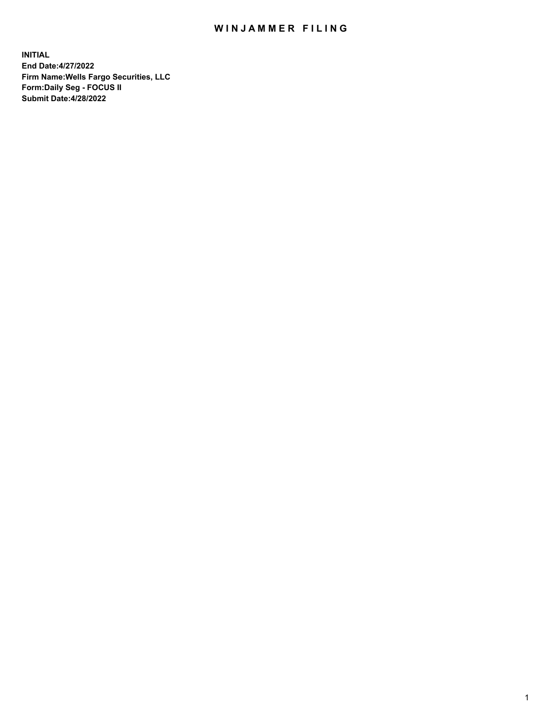## WIN JAMMER FILING

**INITIAL End Date:4/27/2022 Firm Name:Wells Fargo Securities, LLC Form:Daily Seg - FOCUS II Submit Date:4/28/2022**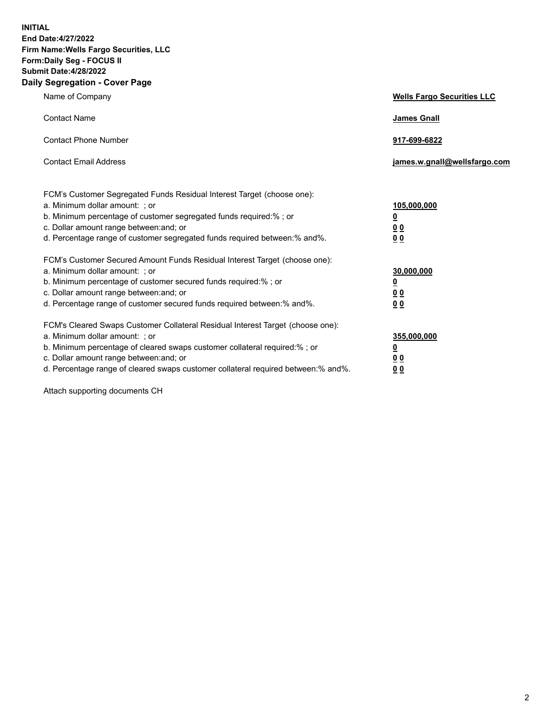**INITIAL End Date:4/27/2022 Firm Name:Wells Fargo Securities, LLC Form:Daily Seg - FOCUS II Submit Date:4/28/2022 Daily Segregation - Cover Page**

| Name of Company                                                                                                                                                                                                                                                                                                                | <b>Wells Fargo Securities LLC</b>                          |
|--------------------------------------------------------------------------------------------------------------------------------------------------------------------------------------------------------------------------------------------------------------------------------------------------------------------------------|------------------------------------------------------------|
| <b>Contact Name</b>                                                                                                                                                                                                                                                                                                            | <b>James Gnall</b>                                         |
| <b>Contact Phone Number</b>                                                                                                                                                                                                                                                                                                    | 917-699-6822                                               |
| <b>Contact Email Address</b>                                                                                                                                                                                                                                                                                                   | james.w.gnall@wellsfargo.com                               |
| FCM's Customer Segregated Funds Residual Interest Target (choose one):<br>a. Minimum dollar amount: ; or<br>b. Minimum percentage of customer segregated funds required:% ; or<br>c. Dollar amount range between: and; or<br>d. Percentage range of customer segregated funds required between:% and%.                         | 105,000,000<br><u>0</u><br>0 <sub>0</sub><br>00            |
| FCM's Customer Secured Amount Funds Residual Interest Target (choose one):<br>a. Minimum dollar amount: ; or<br>b. Minimum percentage of customer secured funds required:%; or<br>c. Dollar amount range between: and; or<br>d. Percentage range of customer secured funds required between:% and%.                            | 30,000,000<br><u>0</u><br>0 <sub>0</sub><br>0 <sub>0</sub> |
| FCM's Cleared Swaps Customer Collateral Residual Interest Target (choose one):<br>a. Minimum dollar amount: ; or<br>b. Minimum percentage of cleared swaps customer collateral required:% ; or<br>c. Dollar amount range between: and; or<br>d. Percentage range of cleared swaps customer collateral required between:% and%. | 355,000,000<br><u>0</u><br>00<br>00                        |

Attach supporting documents CH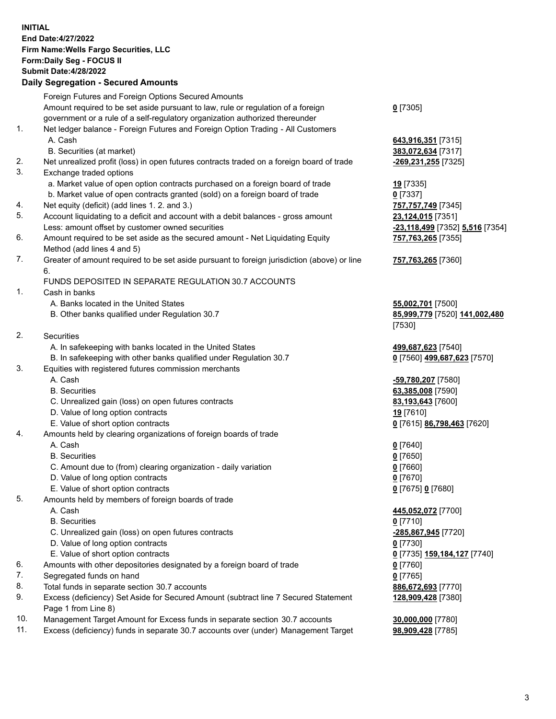**INITIAL End Date:4/27/2022 Firm Name:Wells Fargo Securities, LLC Form:Daily Seg - FOCUS II Submit Date:4/28/2022 Daily Segregation - Secured Amounts** Foreign Futures and Foreign Options Secured Amounts

Amount required to be set aside pursuant to law, rule or regulation of a foreign government or a rule of a self-regulatory organization authorized thereunder **0** [7305] 1. Net ledger balance - Foreign Futures and Foreign Option Trading - All Customers A. Cash **643,916,351** [7315] B. Securities (at market) **383,072,634** [7317] 2. Net unrealized profit (loss) in open futures contracts traded on a foreign board of trade **-269,231,255** [7325] 3. Exchange traded options a. Market value of open option contracts purchased on a foreign board of trade **19** [7335] b. Market value of open contracts granted (sold) on a foreign board of trade **0** [7337] 4. Net equity (deficit) (add lines 1. 2. and 3.) **757,757,749** [7345] 5. Account liquidating to a deficit and account with a debit balances - gross amount **23,124,015** [7351] Less: amount offset by customer owned securities **-23,118,499** [7352] **5,516** [7354] 6. Amount required to be set aside as the secured amount - Net Liquidating Equity Method (add lines 4 and 5) 7. Greater of amount required to be set aside pursuant to foreign jurisdiction (above) or line 6. FUNDS DEPOSITED IN SEPARATE REGULATION 30.7 ACCOUNTS 1. Cash in banks A. Banks located in the United States **55,002,701** [7500] B. Other banks qualified under Regulation 30.7 **85,999,779** [7520] **141,002,480** [7530] 2. Securities A. In safekeeping with banks located in the United States **499,687,623** [7540] B. In safekeeping with other banks qualified under Regulation 30.7 **0** [7560] **499,687,623** [7570] 3. Equities with registered futures commission merchants A. Cash **-59,780,207** [7580] B. Securities **63,385,008** [7590] C. Unrealized gain (loss) on open futures contracts **83,193,643** [7600] D. Value of long option contracts **19** [7610] E. Value of short option contracts **0** [7615] **86,798,463** [7620] 4. Amounts held by clearing organizations of foreign boards of trade

- A. Cash **0** [7640]
- B. Securities **0** [7650]
- C. Amount due to (from) clearing organization daily variation **0** [7660]
- D. Value of long option contracts **0** [7670]
- E. Value of short option contracts **0** [7675] **0** [7680]
- 5. Amounts held by members of foreign boards of trade
	-
	- B. Securities **0** [7710]
	- C. Unrealized gain (loss) on open futures contracts **-285,867,945** [7720]
	- D. Value of long option contracts **0** [7730]
	- E. Value of short option contracts **0** [7735] **159,184,127** [7740]
- 6. Amounts with other depositories designated by a foreign board of trade **0** [7760]
- 7. Segregated funds on hand **0** [7765]
- 8. Total funds in separate section 30.7 accounts **886,672,693** [7770]
- 9. Excess (deficiency) Set Aside for Secured Amount (subtract line 7 Secured Statement Page 1 from Line 8)
- 10. Management Target Amount for Excess funds in separate section 30.7 accounts **30,000,000** [7780]
- 11. Excess (deficiency) funds in separate 30.7 accounts over (under) Management Target **98,909,428** [7785]

**757,763,265** [7355]

## **757,763,265** [7360]

 A. Cash **445,052,072** [7700] **128,909,428** [7380]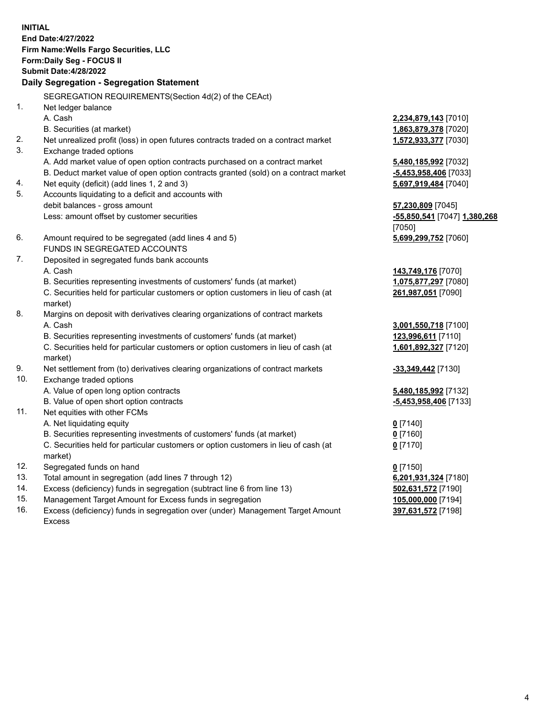**INITIAL End Date:4/27/2022 Firm Name:Wells Fargo Securities, LLC Form:Daily Seg - FOCUS II Submit Date:4/28/2022 Daily Segregation - Segregation Statement** SEGREGATION REQUIREMENTS(Section 4d(2) of the CEAct) 1. Net ledger balance A. Cash **2,234,879,143** [7010] B. Securities (at market) **1,863,879,378** [7020] 2. Net unrealized profit (loss) in open futures contracts traded on a contract market **1,572,933,377** [7030] 3. Exchange traded options A. Add market value of open option contracts purchased on a contract market **5,480,185,992** [7032] B. Deduct market value of open option contracts granted (sold) on a contract market **-5,453,958,406** [7033] 4. Net equity (deficit) (add lines 1, 2 and 3) **5,697,919,484** [7040] 5. Accounts liquidating to a deficit and accounts with debit balances - gross amount **57,230,809** [7045] Less: amount offset by customer securities **-55,850,541** [7047] **1,380,268** [7050] 6. Amount required to be segregated (add lines 4 and 5) **5,699,299,752** [7060] FUNDS IN SEGREGATED ACCOUNTS 7. Deposited in segregated funds bank accounts A. Cash **143,749,176** [7070] B. Securities representing investments of customers' funds (at market) **1,075,877,297** [7080] C. Securities held for particular customers or option customers in lieu of cash (at market) **261,987,051** [7090] 8. Margins on deposit with derivatives clearing organizations of contract markets A. Cash **3,001,550,718** [7100] B. Securities representing investments of customers' funds (at market) **123,996,611** [7110] C. Securities held for particular customers or option customers in lieu of cash (at market) **1,601,892,327** [7120] 9. Net settlement from (to) derivatives clearing organizations of contract markets **-33,349,442** [7130] 10. Exchange traded options A. Value of open long option contracts **5,480,185,992** [7132] B. Value of open short option contracts **-5,453,958,406** [7133] 11. Net equities with other FCMs A. Net liquidating equity **0** [7140] B. Securities representing investments of customers' funds (at market) **0** [7160]

- C. Securities held for particular customers or option customers in lieu of cash (at market)
- 12. Segregated funds on hand **0** [7150]
- 13. Total amount in segregation (add lines 7 through 12) **6,201,931,324** [7180]
- 14. Excess (deficiency) funds in segregation (subtract line 6 from line 13) **502,631,572** [7190]
- 15. Management Target Amount for Excess funds in segregation **105,000,000** [7194]
- 16. Excess (deficiency) funds in segregation over (under) Management Target Amount Excess

**0** [7170]

**397,631,572** [7198]